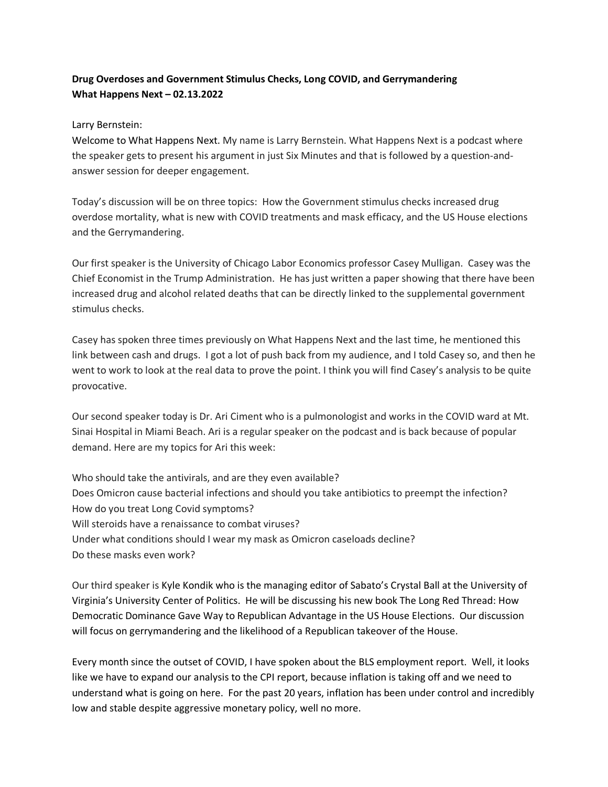# **Drug Overdoses and Government Stimulus Checks, Long COVID, and Gerrymandering What Happens Next – 02.13.2022**

### Larry Bernstein:

Welcome to What Happens Next. My name is Larry Bernstein. What Happens Next is a podcast where the speaker gets to present his argument in just Six Minutes and that is followed by a question-andanswer session for deeper engagement.

Today's discussion will be on three topics: How the Government stimulus checks increased drug overdose mortality, what is new with COVID treatments and mask efficacy, and the US House elections and the Gerrymandering.

Our first speaker is the University of Chicago Labor Economics professor Casey Mulligan. Casey was the Chief Economist in the Trump Administration. He has just written a paper showing that there have been increased drug and alcohol related deaths that can be directly linked to the supplemental government stimulus checks.

Casey has spoken three times previously on What Happens Next and the last time, he mentioned this link between cash and drugs. I got a lot of push back from my audience, and I told Casey so, and then he went to work to look at the real data to prove the point. I think you will find Casey's analysis to be quite provocative.

Our second speaker today is Dr. Ari Ciment who is a pulmonologist and works in the COVID ward at Mt. Sinai Hospital in Miami Beach. Ari is a regular speaker on the podcast and is back because of popular demand. Here are my topics for Ari this week:

Who should take the antivirals, and are they even available? Does Omicron cause bacterial infections and should you take antibiotics to preempt the infection? How do you treat Long Covid symptoms? Will steroids have a renaissance to combat viruses? Under what conditions should I wear my mask as Omicron caseloads decline? Do these masks even work?

Our third speaker is Kyle Kondik who is the managing editor of Sabato's Crystal Ball at the University of Virginia's University Center of Politics. He will be discussing his new book The Long Red Thread: How Democratic Dominance Gave Way to Republican Advantage in the US House Elections. Our discussion will focus on gerrymandering and the likelihood of a Republican takeover of the House.

Every month since the outset of COVID, I have spoken about the BLS employment report. Well, it looks like we have to expand our analysis to the CPI report, because inflation is taking off and we need to understand what is going on here. For the past 20 years, inflation has been under control and incredibly low and stable despite aggressive monetary policy, well no more.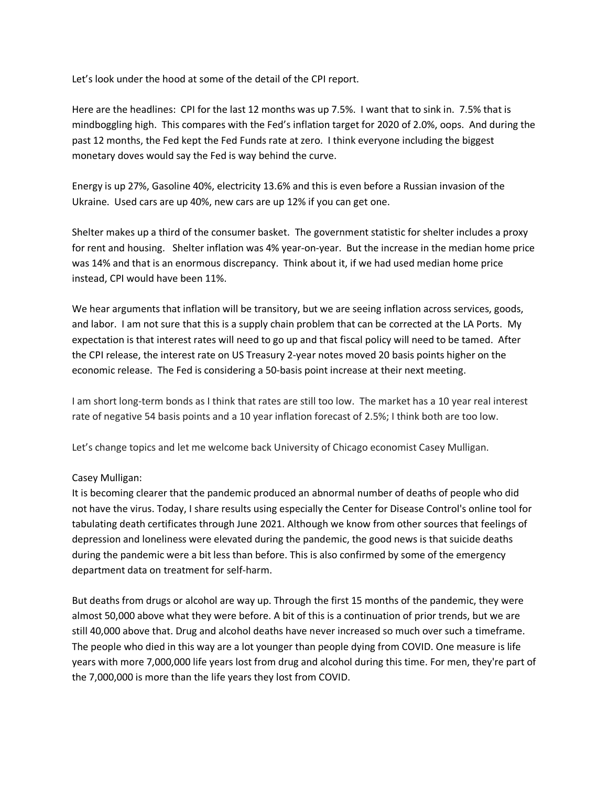Let's look under the hood at some of the detail of the CPI report.

Here are the headlines: CPI for the last 12 months was up 7.5%. I want that to sink in. 7.5% that is mindboggling high. This compares with the Fed's inflation target for 2020 of 2.0%, oops. And during the past 12 months, the Fed kept the Fed Funds rate at zero. I think everyone including the biggest monetary doves would say the Fed is way behind the curve.

Energy is up 27%, Gasoline 40%, electricity 13.6% and this is even before a Russian invasion of the Ukraine. Used cars are up 40%, new cars are up 12% if you can get one.

Shelter makes up a third of the consumer basket. The government statistic for shelter includes a proxy for rent and housing. Shelter inflation was 4% year-on-year. But the increase in the median home price was 14% and that is an enormous discrepancy. Think about it, if we had used median home price instead, CPI would have been 11%.

We hear arguments that inflation will be transitory, but we are seeing inflation across services, goods, and labor. I am not sure that this is a supply chain problem that can be corrected at the LA Ports. My expectation is that interest rates will need to go up and that fiscal policy will need to be tamed. After the CPI release, the interest rate on US Treasury 2-year notes moved 20 basis points higher on the economic release. The Fed is considering a 50-basis point increase at their next meeting.

I am short long-term bonds as I think that rates are still too low. The market has a 10 year real interest rate of negative 54 basis points and a 10 year inflation forecast of 2.5%; I think both are too low.

Let's change topics and let me welcome back University of Chicago economist Casey Mulligan.

## Casey Mulligan:

It is becoming clearer that the pandemic produced an abnormal number of deaths of people who did not have the virus. Today, I share results using especially the Center for Disease Control's online tool for tabulating death certificates through June 2021. Although we know from other sources that feelings of depression and loneliness were elevated during the pandemic, the good news is that suicide deaths during the pandemic were a bit less than before. This is also confirmed by some of the emergency department data on treatment for self-harm.

But deaths from drugs or alcohol are way up. Through the first 15 months of the pandemic, they were almost 50,000 above what they were before. A bit of this is a continuation of prior trends, but we are still 40,000 above that. Drug and alcohol deaths have never increased so much over such a timeframe. The people who died in this way are a lot younger than people dying from COVID. One measure is life years with more 7,000,000 life years lost from drug and alcohol during this time. For men, they're part of the 7,000,000 is more than the life years they lost from COVID.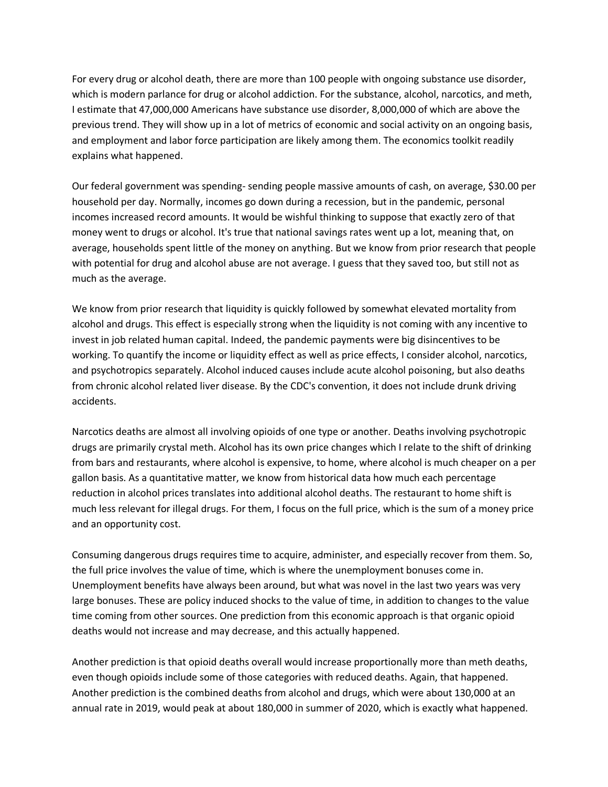For every drug or alcohol death, there are more than 100 people with ongoing substance use disorder, which is modern parlance for drug or alcohol addiction. For the substance, alcohol, narcotics, and meth, I estimate that 47,000,000 Americans have substance use disorder, 8,000,000 of which are above the previous trend. They will show up in a lot of metrics of economic and social activity on an ongoing basis, and employment and labor force participation are likely among them. The economics toolkit readily explains what happened.

Our federal government was spending- sending people massive amounts of cash, on average, \$30.00 per household per day. Normally, incomes go down during a recession, but in the pandemic, personal incomes increased record amounts. It would be wishful thinking to suppose that exactly zero of that money went to drugs or alcohol. It's true that national savings rates went up a lot, meaning that, on average, households spent little of the money on anything. But we know from prior research that people with potential for drug and alcohol abuse are not average. I guess that they saved too, but still not as much as the average.

We know from prior research that liquidity is quickly followed by somewhat elevated mortality from alcohol and drugs. This effect is especially strong when the liquidity is not coming with any incentive to invest in job related human capital. Indeed, the pandemic payments were big disincentives to be working. To quantify the income or liquidity effect as well as price effects, I consider alcohol, narcotics, and psychotropics separately. Alcohol induced causes include acute alcohol poisoning, but also deaths from chronic alcohol related liver disease. By the CDC's convention, it does not include drunk driving accidents.

Narcotics deaths are almost all involving opioids of one type or another. Deaths involving psychotropic drugs are primarily crystal meth. Alcohol has its own price changes which I relate to the shift of drinking from bars and restaurants, where alcohol is expensive, to home, where alcohol is much cheaper on a per gallon basis. As a quantitative matter, we know from historical data how much each percentage reduction in alcohol prices translates into additional alcohol deaths. The restaurant to home shift is much less relevant for illegal drugs. For them, I focus on the full price, which is the sum of a money price and an opportunity cost.

Consuming dangerous drugs requires time to acquire, administer, and especially recover from them. So, the full price involves the value of time, which is where the unemployment bonuses come in. Unemployment benefits have always been around, but what was novel in the last two years was very large bonuses. These are policy induced shocks to the value of time, in addition to changes to the value time coming from other sources. One prediction from this economic approach is that organic opioid deaths would not increase and may decrease, and this actually happened.

Another prediction is that opioid deaths overall would increase proportionally more than meth deaths, even though opioids include some of those categories with reduced deaths. Again, that happened. Another prediction is the combined deaths from alcohol and drugs, which were about 130,000 at an annual rate in 2019, would peak at about 180,000 in summer of 2020, which is exactly what happened.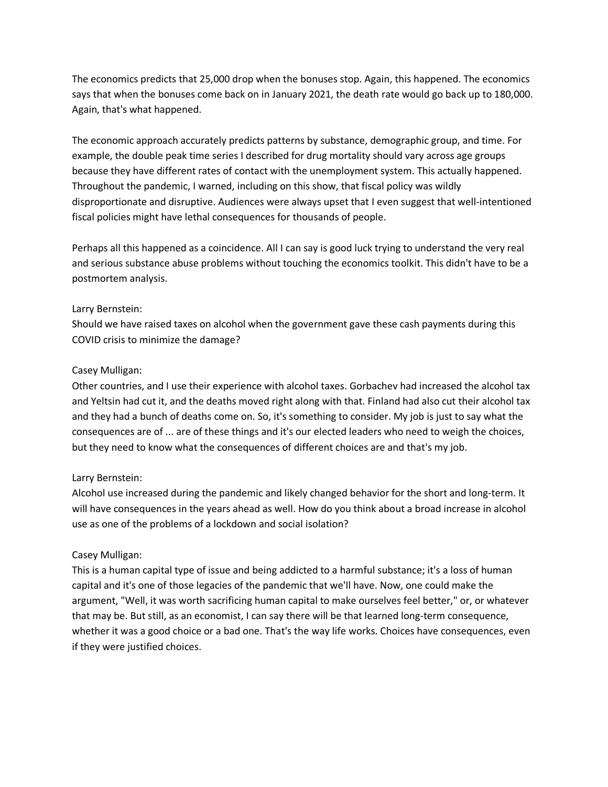The economics predicts that 25,000 drop when the bonuses stop. Again, this happened. The economics says that when the bonuses come back on in January 2021, the death rate would go back up to 180,000. Again, that's what happened.

The economic approach accurately predicts patterns by substance, demographic group, and time. For example, the double peak time series I described for drug mortality should vary across age groups because they have different rates of contact with the unemployment system. This actually happened. Throughout the pandemic, I warned, including on this show, that fiscal policy was wildly disproportionate and disruptive. Audiences were always upset that I even suggest that well-intentioned fiscal policies might have lethal consequences for thousands of people.

Perhaps all this happened as a coincidence. All I can say is good luck trying to understand the very real and serious substance abuse problems without touching the economics toolkit. This didn't have to be a postmortem analysis.

#### Larry Bernstein:

Should we have raised taxes on alcohol when the government gave these cash payments during this COVID crisis to minimize the damage?

## Casey Mulligan:

Other countries, and I use their experience with alcohol taxes. Gorbachev had increased the alcohol tax and Yeltsin had cut it, and the deaths moved right along with that. Finland had also cut their alcohol tax and they had a bunch of deaths come on. So, it's something to consider. My job is just to say what the consequences are of ... are of these things and it's our elected leaders who need to weigh the choices, but they need to know what the consequences of different choices are and that's my job.

## Larry Bernstein:

Alcohol use increased during the pandemic and likely changed behavior for the short and long-term. It will have consequences in the years ahead as well. How do you think about a broad increase in alcohol use as one of the problems of a lockdown and social isolation?

## Casey Mulligan:

This is a human capital type of issue and being addicted to a harmful substance; it's a loss of human capital and it's one of those legacies of the pandemic that we'll have. Now, one could make the argument, "Well, it was worth sacrificing human capital to make ourselves feel better," or, or whatever that may be. But still, as an economist, I can say there will be that learned long-term consequence, whether it was a good choice or a bad one. That's the way life works. Choices have consequences, even if they were justified choices.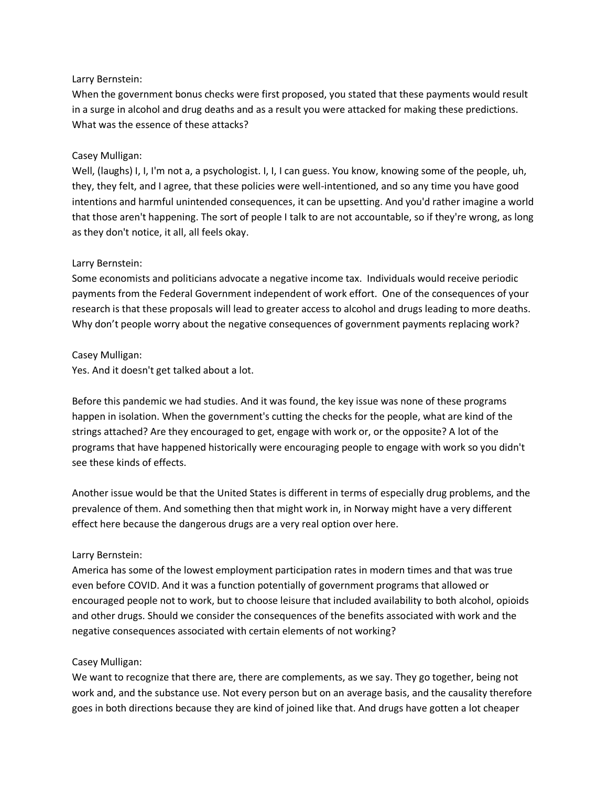### Larry Bernstein:

When the government bonus checks were first proposed, you stated that these payments would result in a surge in alcohol and drug deaths and as a result you were attacked for making these predictions. What was the essence of these attacks?

### Casey Mulligan:

Well, (laughs) I, I, I'm not a, a psychologist. I, I, I can guess. You know, knowing some of the people, uh, they, they felt, and I agree, that these policies were well-intentioned, and so any time you have good intentions and harmful unintended consequences, it can be upsetting. And you'd rather imagine a world that those aren't happening. The sort of people I talk to are not accountable, so if they're wrong, as long as they don't notice, it all, all feels okay.

### Larry Bernstein:

Some economists and politicians advocate a negative income tax. Individuals would receive periodic payments from the Federal Government independent of work effort. One of the consequences of your research is that these proposals will lead to greater access to alcohol and drugs leading to more deaths. Why don't people worry about the negative consequences of government payments replacing work?

### Casey Mulligan:

Yes. And it doesn't get talked about a lot.

Before this pandemic we had studies. And it was found, the key issue was none of these programs happen in isolation. When the government's cutting the checks for the people, what are kind of the strings attached? Are they encouraged to get, engage with work or, or the opposite? A lot of the programs that have happened historically were encouraging people to engage with work so you didn't see these kinds of effects.

Another issue would be that the United States is different in terms of especially drug problems, and the prevalence of them. And something then that might work in, in Norway might have a very different effect here because the dangerous drugs are a very real option over here.

## Larry Bernstein:

America has some of the lowest employment participation rates in modern times and that was true even before COVID. And it was a function potentially of government programs that allowed or encouraged people not to work, but to choose leisure that included availability to both alcohol, opioids and other drugs. Should we consider the consequences of the benefits associated with work and the negative consequences associated with certain elements of not working?

## Casey Mulligan:

We want to recognize that there are, there are complements, as we say. They go together, being not work and, and the substance use. Not every person but on an average basis, and the causality therefore goes in both directions because they are kind of joined like that. And drugs have gotten a lot cheaper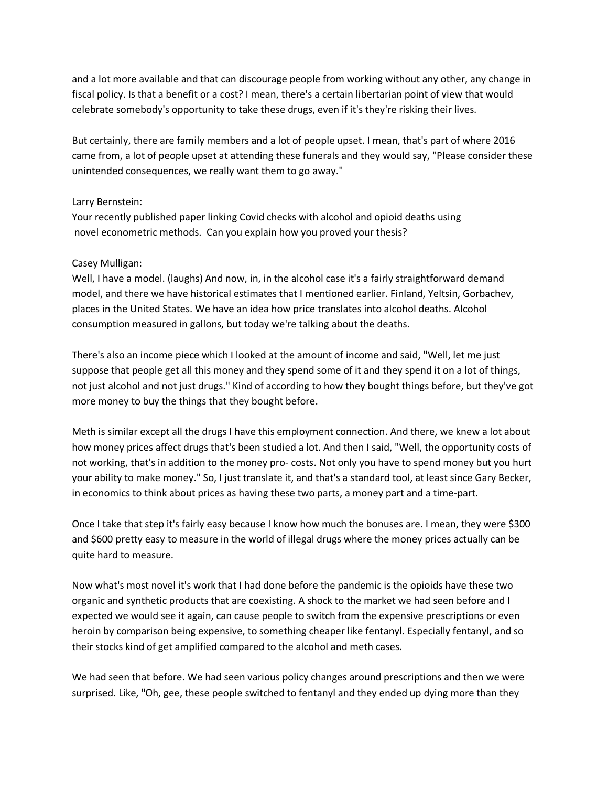and a lot more available and that can discourage people from working without any other, any change in fiscal policy. Is that a benefit or a cost? I mean, there's a certain libertarian point of view that would celebrate somebody's opportunity to take these drugs, even if it's they're risking their lives.

But certainly, there are family members and a lot of people upset. I mean, that's part of where 2016 came from, a lot of people upset at attending these funerals and they would say, "Please consider these unintended consequences, we really want them to go away."

#### Larry Bernstein:

Your recently published paper linking Covid checks with alcohol and opioid deaths using novel econometric methods. Can you explain how you proved your thesis?

#### Casey Mulligan:

Well, I have a model. (laughs) And now, in, in the alcohol case it's a fairly straightforward demand model, and there we have historical estimates that I mentioned earlier. Finland, Yeltsin, Gorbachev, places in the United States. We have an idea how price translates into alcohol deaths. Alcohol consumption measured in gallons, but today we're talking about the deaths.

There's also an income piece which I looked at the amount of income and said, "Well, let me just suppose that people get all this money and they spend some of it and they spend it on a lot of things, not just alcohol and not just drugs." Kind of according to how they bought things before, but they've got more money to buy the things that they bought before.

Meth is similar except all the drugs I have this employment connection. And there, we knew a lot about how money prices affect drugs that's been studied a lot. And then I said, "Well, the opportunity costs of not working, that's in addition to the money pro- costs. Not only you have to spend money but you hurt your ability to make money." So, I just translate it, and that's a standard tool, at least since Gary Becker, in economics to think about prices as having these two parts, a money part and a time-part.

Once I take that step it's fairly easy because I know how much the bonuses are. I mean, they were \$300 and \$600 pretty easy to measure in the world of illegal drugs where the money prices actually can be quite hard to measure.

Now what's most novel it's work that I had done before the pandemic is the opioids have these two organic and synthetic products that are coexisting. A shock to the market we had seen before and I expected we would see it again, can cause people to switch from the expensive prescriptions or even heroin by comparison being expensive, to something cheaper like fentanyl. Especially fentanyl, and so their stocks kind of get amplified compared to the alcohol and meth cases.

We had seen that before. We had seen various policy changes around prescriptions and then we were surprised. Like, "Oh, gee, these people switched to fentanyl and they ended up dying more than they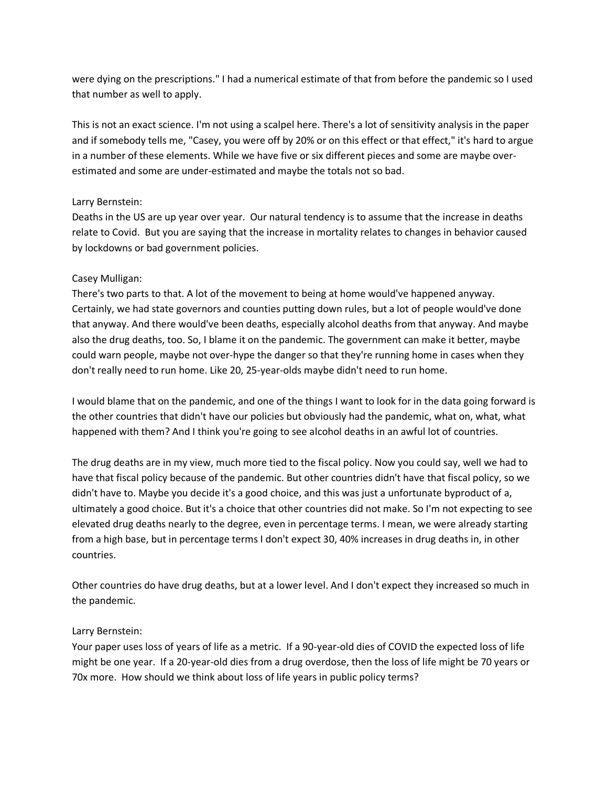were dying on the prescriptions." I had a numerical estimate of that from before the pandemic so I used that number as well to apply.

This is not an exact science. I'm not using a scalpel here. There's a lot of sensitivity analysis in the paper and if somebody tells me, "Casey, you were off by 20% or on this effect or that effect," it's hard to argue in a number of these elements. While we have five or six different pieces and some are maybe overestimated and some are under-estimated and maybe the totals not so bad.

#### Larry Bernstein:

Deaths in the US are up year over year. Our natural tendency is to assume that the increase in deaths relate to Covid. But you are saying that the increase in mortality relates to changes in behavior caused by lockdowns or bad government policies.

#### Casey Mulligan:

There's two parts to that. A lot of the movement to being at home would've happened anyway. Certainly, we had state governors and counties putting down rules, but a lot of people would've done that anyway. And there would've been deaths, especially alcohol deaths from that anyway. And maybe also the drug deaths, too. So, I blame it on the pandemic. The government can make it better, maybe could warn people, maybe not over-hype the danger so that they're running home in cases when they don't really need to run home. Like 20, 25-year-olds maybe didn't need to run home.

I would blame that on the pandemic, and one of the things I want to look for in the data going forward is the other countries that didn't have our policies but obviously had the pandemic, what on, what, what happened with them? And I think you're going to see alcohol deaths in an awful lot of countries.

The drug deaths are in my view, much more tied to the fiscal policy. Now you could say, well we had to have that fiscal policy because of the pandemic. But other countries didn't have that fiscal policy, so we didn't have to. Maybe you decide it's a good choice, and this was just a unfortunate byproduct of a, ultimately a good choice. But it's a choice that other countries did not make. So I'm not expecting to see elevated drug deaths nearly to the degree, even in percentage terms. I mean, we were already starting from a high base, but in percentage terms I don't expect 30, 40% increases in drug deaths in, in other countries.

Other countries do have drug deaths, but at a lower level. And I don't expect they increased so much in the pandemic.

#### Larry Bernstein:

Your paper uses loss of years of life as a metric. If a 90-year-old dies of COVID the expected loss of life might be one year. If a 20-year-old dies from a drug overdose, then the loss of life might be 70 years or 70x more. How should we think about loss of life years in public policy terms?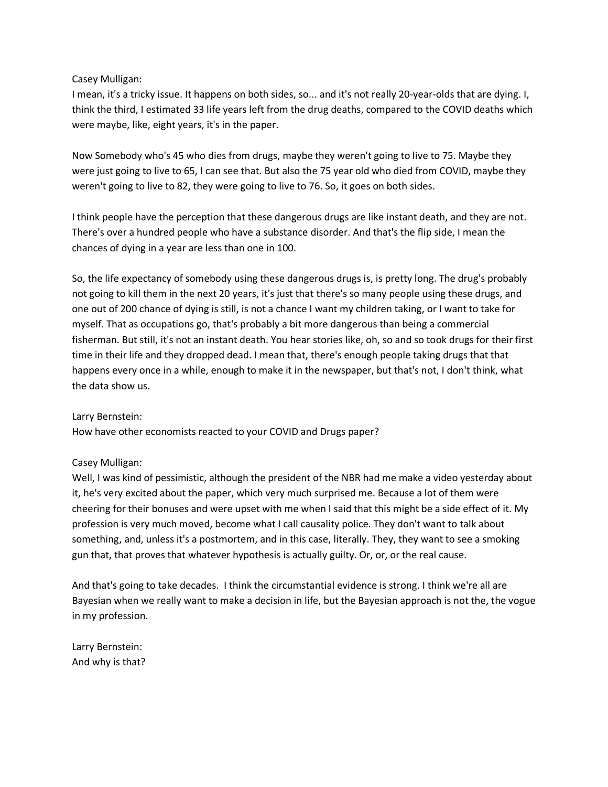#### Casey Mulligan:

I mean, it's a tricky issue. It happens on both sides, so... and it's not really 20-year-olds that are dying. I, think the third, I estimated 33 life years left from the drug deaths, compared to the COVID deaths which were maybe, like, eight years, it's in the paper.

Now Somebody who's 45 who dies from drugs, maybe they weren't going to live to 75. Maybe they were just going to live to 65, I can see that. But also the 75 year old who died from COVID, maybe they weren't going to live to 82, they were going to live to 76. So, it goes on both sides.

I think people have the perception that these dangerous drugs are like instant death, and they are not. There's over a hundred people who have a substance disorder. And that's the flip side, I mean the chances of dying in a year are less than one in 100.

So, the life expectancy of somebody using these dangerous drugs is, is pretty long. The drug's probably not going to kill them in the next 20 years, it's just that there's so many people using these drugs, and one out of 200 chance of dying is still, is not a chance I want my children taking, or I want to take for myself. That as occupations go, that's probably a bit more dangerous than being a commercial fisherman. But still, it's not an instant death. You hear stories like, oh, so and so took drugs for their first time in their life and they dropped dead. I mean that, there's enough people taking drugs that that happens every once in a while, enough to make it in the newspaper, but that's not, I don't think, what the data show us.

#### Larry Bernstein:

How have other economists reacted to your COVID and Drugs paper?

#### Casey Mulligan:

Well, I was kind of pessimistic, although the president of the NBR had me make a video yesterday about it, he's very excited about the paper, which very much surprised me. Because a lot of them were cheering for their bonuses and were upset with me when I said that this might be a side effect of it. My profession is very much moved, become what I call causality police. They don't want to talk about something, and, unless it's a postmortem, and in this case, literally. They, they want to see a smoking gun that, that proves that whatever hypothesis is actually guilty. Or, or, or the real cause.

And that's going to take decades. I think the circumstantial evidence is strong. I think we're all are Bayesian when we really want to make a decision in life, but the Bayesian approach is not the, the vogue in my profession.

Larry Bernstein: And why is that?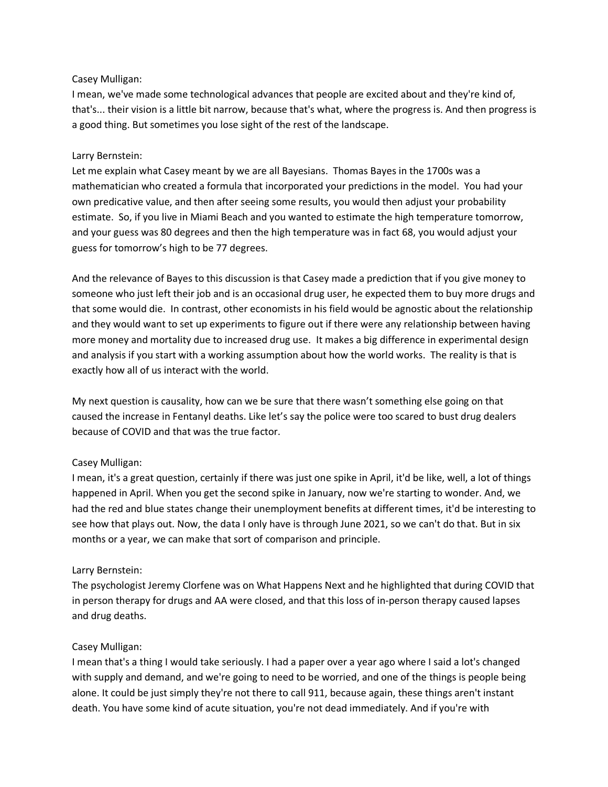#### Casey Mulligan:

I mean, we've made some technological advances that people are excited about and they're kind of, that's... their vision is a little bit narrow, because that's what, where the progress is. And then progress is a good thing. But sometimes you lose sight of the rest of the landscape.

#### Larry Bernstein:

Let me explain what Casey meant by we are all Bayesians. Thomas Bayes in the 1700s was a mathematician who created a formula that incorporated your predictions in the model. You had your own predicative value, and then after seeing some results, you would then adjust your probability estimate. So, if you live in Miami Beach and you wanted to estimate the high temperature tomorrow, and your guess was 80 degrees and then the high temperature was in fact 68, you would adjust your guess for tomorrow's high to be 77 degrees.

And the relevance of Bayes to this discussion is that Casey made a prediction that if you give money to someone who just left their job and is an occasional drug user, he expected them to buy more drugs and that some would die. In contrast, other economists in his field would be agnostic about the relationship and they would want to set up experiments to figure out if there were any relationship between having more money and mortality due to increased drug use. It makes a big difference in experimental design and analysis if you start with a working assumption about how the world works. The reality is that is exactly how all of us interact with the world.

My next question is causality, how can we be sure that there wasn't something else going on that caused the increase in Fentanyl deaths. Like let's say the police were too scared to bust drug dealers because of COVID and that was the true factor.

#### Casey Mulligan:

I mean, it's a great question, certainly if there was just one spike in April, it'd be like, well, a lot of things happened in April. When you get the second spike in January, now we're starting to wonder. And, we had the red and blue states change their unemployment benefits at different times, it'd be interesting to see how that plays out. Now, the data I only have is through June 2021, so we can't do that. But in six months or a year, we can make that sort of comparison and principle.

#### Larry Bernstein:

The psychologist Jeremy Clorfene was on What Happens Next and he highlighted that during COVID that in person therapy for drugs and AA were closed, and that this loss of in-person therapy caused lapses and drug deaths.

#### Casey Mulligan:

I mean that's a thing I would take seriously. I had a paper over a year ago where I said a lot's changed with supply and demand, and we're going to need to be worried, and one of the things is people being alone. It could be just simply they're not there to call 911, because again, these things aren't instant death. You have some kind of acute situation, you're not dead immediately. And if you're with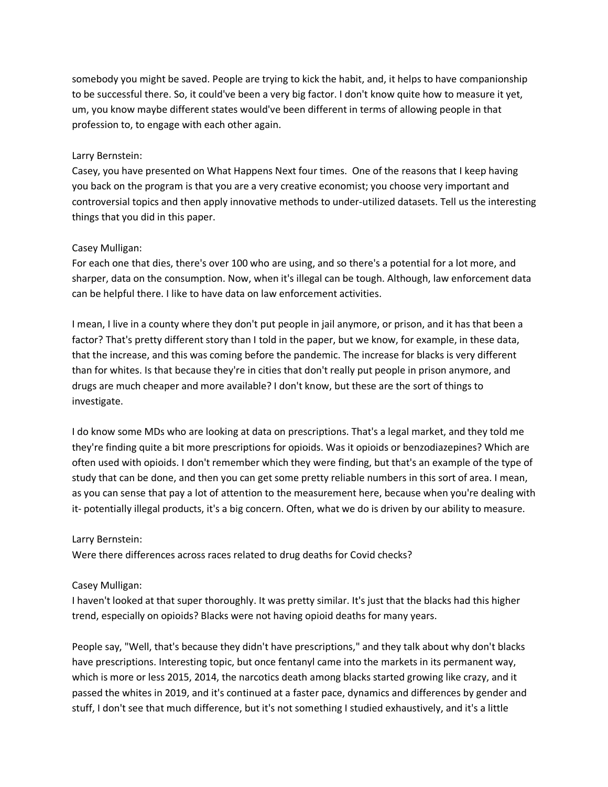somebody you might be saved. People are trying to kick the habit, and, it helps to have companionship to be successful there. So, it could've been a very big factor. I don't know quite how to measure it yet, um, you know maybe different states would've been different in terms of allowing people in that profession to, to engage with each other again.

#### Larry Bernstein:

Casey, you have presented on What Happens Next four times. One of the reasons that I keep having you back on the program is that you are a very creative economist; you choose very important and controversial topics and then apply innovative methods to under-utilized datasets. Tell us the interesting things that you did in this paper.

#### Casey Mulligan:

For each one that dies, there's over 100 who are using, and so there's a potential for a lot more, and sharper, data on the consumption. Now, when it's illegal can be tough. Although, law enforcement data can be helpful there. I like to have data on law enforcement activities.

I mean, I live in a county where they don't put people in jail anymore, or prison, and it has that been a factor? That's pretty different story than I told in the paper, but we know, for example, in these data, that the increase, and this was coming before the pandemic. The increase for blacks is very different than for whites. Is that because they're in cities that don't really put people in prison anymore, and drugs are much cheaper and more available? I don't know, but these are the sort of things to investigate.

I do know some MDs who are looking at data on prescriptions. That's a legal market, and they told me they're finding quite a bit more prescriptions for opioids. Was it opioids or benzodiazepines? Which are often used with opioids. I don't remember which they were finding, but that's an example of the type of study that can be done, and then you can get some pretty reliable numbers in this sort of area. I mean, as you can sense that pay a lot of attention to the measurement here, because when you're dealing with it- potentially illegal products, it's a big concern. Often, what we do is driven by our ability to measure.

#### Larry Bernstein:

Were there differences across races related to drug deaths for Covid checks?

#### Casey Mulligan:

I haven't looked at that super thoroughly. It was pretty similar. It's just that the blacks had this higher trend, especially on opioids? Blacks were not having opioid deaths for many years.

People say, "Well, that's because they didn't have prescriptions," and they talk about why don't blacks have prescriptions. Interesting topic, but once fentanyl came into the markets in its permanent way, which is more or less 2015, 2014, the narcotics death among blacks started growing like crazy, and it passed the whites in 2019, and it's continued at a faster pace, dynamics and differences by gender and stuff, I don't see that much difference, but it's not something I studied exhaustively, and it's a little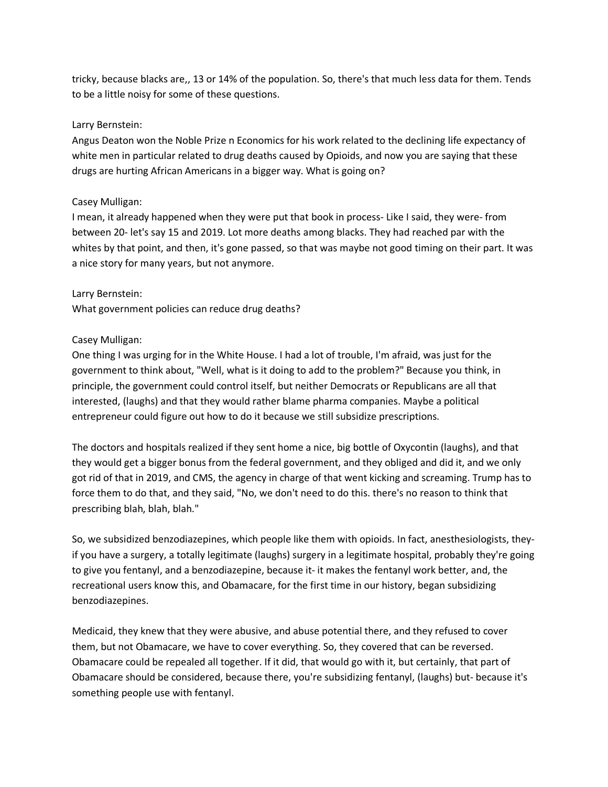tricky, because blacks are,, 13 or 14% of the population. So, there's that much less data for them. Tends to be a little noisy for some of these questions.

#### Larry Bernstein:

Angus Deaton won the Noble Prize n Economics for his work related to the declining life expectancy of white men in particular related to drug deaths caused by Opioids, and now you are saying that these drugs are hurting African Americans in a bigger way. What is going on?

#### Casey Mulligan:

I mean, it already happened when they were put that book in process- Like I said, they were- from between 20- let's say 15 and 2019. Lot more deaths among blacks. They had reached par with the whites by that point, and then, it's gone passed, so that was maybe not good timing on their part. It was a nice story for many years, but not anymore.

#### Larry Bernstein:

What government policies can reduce drug deaths?

#### Casey Mulligan:

One thing I was urging for in the White House. I had a lot of trouble, I'm afraid, was just for the government to think about, "Well, what is it doing to add to the problem?" Because you think, in principle, the government could control itself, but neither Democrats or Republicans are all that interested, (laughs) and that they would rather blame pharma companies. Maybe a political entrepreneur could figure out how to do it because we still subsidize prescriptions.

The doctors and hospitals realized if they sent home a nice, big bottle of Oxycontin (laughs), and that they would get a bigger bonus from the federal government, and they obliged and did it, and we only got rid of that in 2019, and CMS, the agency in charge of that went kicking and screaming. Trump has to force them to do that, and they said, "No, we don't need to do this. there's no reason to think that prescribing blah, blah, blah."

So, we subsidized benzodiazepines, which people like them with opioids. In fact, anesthesiologists, theyif you have a surgery, a totally legitimate (laughs) surgery in a legitimate hospital, probably they're going to give you fentanyl, and a benzodiazepine, because it- it makes the fentanyl work better, and, the recreational users know this, and Obamacare, for the first time in our history, began subsidizing benzodiazepines.

Medicaid, they knew that they were abusive, and abuse potential there, and they refused to cover them, but not Obamacare, we have to cover everything. So, they covered that can be reversed. Obamacare could be repealed all together. If it did, that would go with it, but certainly, that part of Obamacare should be considered, because there, you're subsidizing fentanyl, (laughs) but- because it's something people use with fentanyl.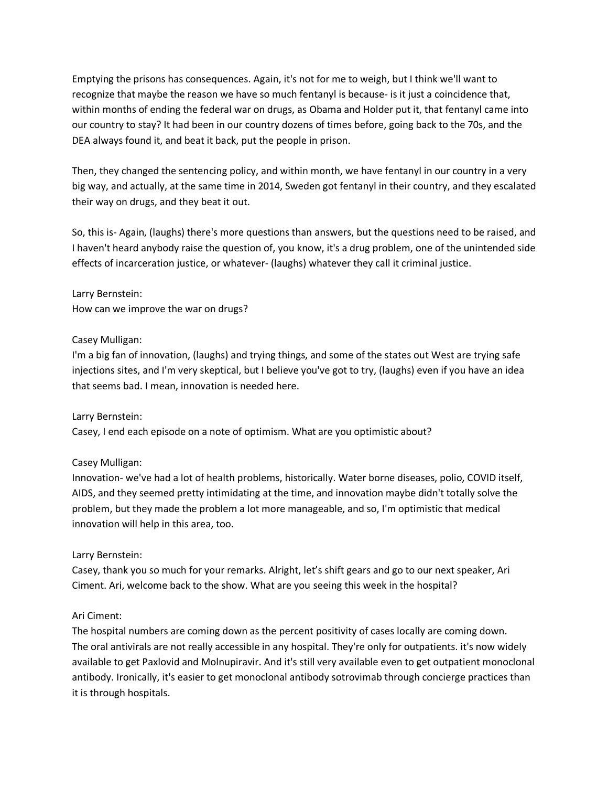Emptying the prisons has consequences. Again, it's not for me to weigh, but I think we'll want to recognize that maybe the reason we have so much fentanyl is because- is it just a coincidence that, within months of ending the federal war on drugs, as Obama and Holder put it, that fentanyl came into our country to stay? It had been in our country dozens of times before, going back to the 70s, and the DEA always found it, and beat it back, put the people in prison.

Then, they changed the sentencing policy, and within month, we have fentanyl in our country in a very big way, and actually, at the same time in 2014, Sweden got fentanyl in their country, and they escalated their way on drugs, and they beat it out.

So, this is- Again, (laughs) there's more questions than answers, but the questions need to be raised, and I haven't heard anybody raise the question of, you know, it's a drug problem, one of the unintended side effects of incarceration justice, or whatever- (laughs) whatever they call it criminal justice.

Larry Bernstein: How can we improve the war on drugs?

#### Casey Mulligan:

I'm a big fan of innovation, (laughs) and trying things, and some of the states out West are trying safe injections sites, and I'm very skeptical, but I believe you've got to try, (laughs) even if you have an idea that seems bad. I mean, innovation is needed here.

#### Larry Bernstein:

Casey, I end each episode on a note of optimism. What are you optimistic about?

#### Casey Mulligan:

Innovation- we've had a lot of health problems, historically. Water borne diseases, polio, COVID itself, AIDS, and they seemed pretty intimidating at the time, and innovation maybe didn't totally solve the problem, but they made the problem a lot more manageable, and so, I'm optimistic that medical innovation will help in this area, too.

#### Larry Bernstein:

Casey, thank you so much for your remarks. Alright, let's shift gears and go to our next speaker, Ari Ciment. Ari, welcome back to the show. What are you seeing this week in the hospital?

#### Ari Ciment:

The hospital numbers are coming down as the percent positivity of cases locally are coming down. The oral antivirals are not really accessible in any hospital. They're only for outpatients. it's now widely available to get Paxlovid and Molnupiravir. And it's still very available even to get outpatient monoclonal antibody. Ironically, it's easier to get monoclonal antibody sotrovimab through concierge practices than it is through hospitals.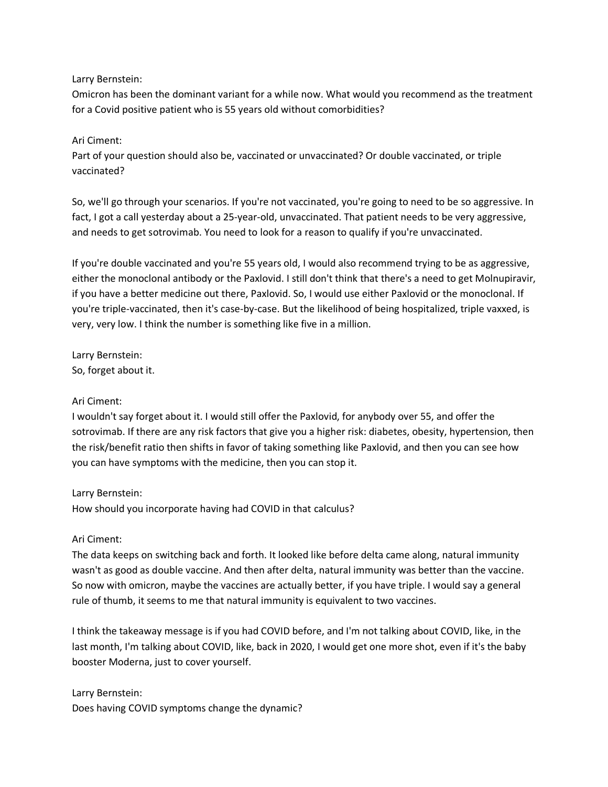### Larry Bernstein:

Omicron has been the dominant variant for a while now. What would you recommend as the treatment for a Covid positive patient who is 55 years old without comorbidities?

### Ari Ciment:

Part of your question should also be, vaccinated or unvaccinated? Or double vaccinated, or triple vaccinated?

So, we'll go through your scenarios. If you're not vaccinated, you're going to need to be so aggressive. In fact, I got a call yesterday about a 25-year-old, unvaccinated. That patient needs to be very aggressive, and needs to get sotrovimab. You need to look for a reason to qualify if you're unvaccinated.

If you're double vaccinated and you're 55 years old, I would also recommend trying to be as aggressive, either the monoclonal antibody or the Paxlovid. I still don't think that there's a need to get Molnupiravir, if you have a better medicine out there, Paxlovid. So, I would use either Paxlovid or the monoclonal. If you're triple-vaccinated, then it's case-by-case. But the likelihood of being hospitalized, triple vaxxed, is very, very low. I think the number is something like five in a million.

Larry Bernstein:

So, forget about it.

## Ari Ciment:

I wouldn't say forget about it. I would still offer the Paxlovid, for anybody over 55, and offer the sotrovimab. If there are any risk factors that give you a higher risk: diabetes, obesity, hypertension, then the risk/benefit ratio then shifts in favor of taking something like Paxlovid, and then you can see how you can have symptoms with the medicine, then you can stop it.

#### Larry Bernstein:

How should you incorporate having had COVID in that calculus?

## Ari Ciment:

The data keeps on switching back and forth. It looked like before delta came along, natural immunity wasn't as good as double vaccine. And then after delta, natural immunity was better than the vaccine. So now with omicron, maybe the vaccines are actually better, if you have triple. I would say a general rule of thumb, it seems to me that natural immunity is equivalent to two vaccines.

I think the takeaway message is if you had COVID before, and I'm not talking about COVID, like, in the last month, I'm talking about COVID, like, back in 2020, I would get one more shot, even if it's the baby booster Moderna, just to cover yourself.

Larry Bernstein: Does having COVID symptoms change the dynamic?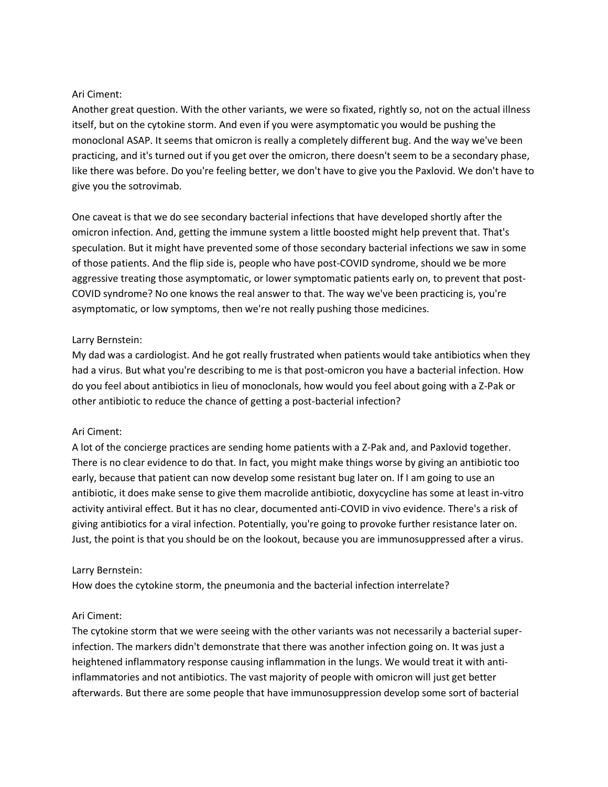#### Ari Ciment:

Another great question. With the other variants, we were so fixated, rightly so, not on the actual illness itself, but on the cytokine storm. And even if you were asymptomatic you would be pushing the monoclonal ASAP. It seems that omicron is really a completely different bug. And the way we've been practicing, and it's turned out if you get over the omicron, there doesn't seem to be a secondary phase, like there was before. Do you're feeling better, we don't have to give you the Paxlovid. We don't have to give you the sotrovimab.

One caveat is that we do see secondary bacterial infections that have developed shortly after the omicron infection. And, getting the immune system a little boosted might help prevent that. That's speculation. But it might have prevented some of those secondary bacterial infections we saw in some of those patients. And the flip side is, people who have post-COVID syndrome, should we be more aggressive treating those asymptomatic, or lower symptomatic patients early on, to prevent that post-COVID syndrome? No one knows the real answer to that. The way we've been practicing is, you're asymptomatic, or low symptoms, then we're not really pushing those medicines.

#### Larry Bernstein:

My dad was a cardiologist. And he got really frustrated when patients would take antibiotics when they had a virus. But what you're describing to me is that post-omicron you have a bacterial infection. How do you feel about antibiotics in lieu of monoclonals, how would you feel about going with a Z-Pak or other antibiotic to reduce the chance of getting a post-bacterial infection?

#### Ari Ciment:

A lot of the concierge practices are sending home patients with a Z-Pak and, and Paxlovid together. There is no clear evidence to do that. In fact, you might make things worse by giving an antibiotic too early, because that patient can now develop some resistant bug later on. If I am going to use an antibiotic, it does make sense to give them macrolide antibiotic, doxycycline has some at least in-vitro activity antiviral effect. But it has no clear, documented anti-COVID in vivo evidence. There's a risk of giving antibiotics for a viral infection. Potentially, you're going to provoke further resistance later on. Just, the point is that you should be on the lookout, because you are immunosuppressed after a virus.

#### Larry Bernstein:

How does the cytokine storm, the pneumonia and the bacterial infection interrelate?

#### Ari Ciment:

The cytokine storm that we were seeing with the other variants was not necessarily a bacterial superinfection. The markers didn't demonstrate that there was another infection going on. It was just a heightened inflammatory response causing inflammation in the lungs. We would treat it with antiinflammatories and not antibiotics. The vast majority of people with omicron will just get better afterwards. But there are some people that have immunosuppression develop some sort of bacterial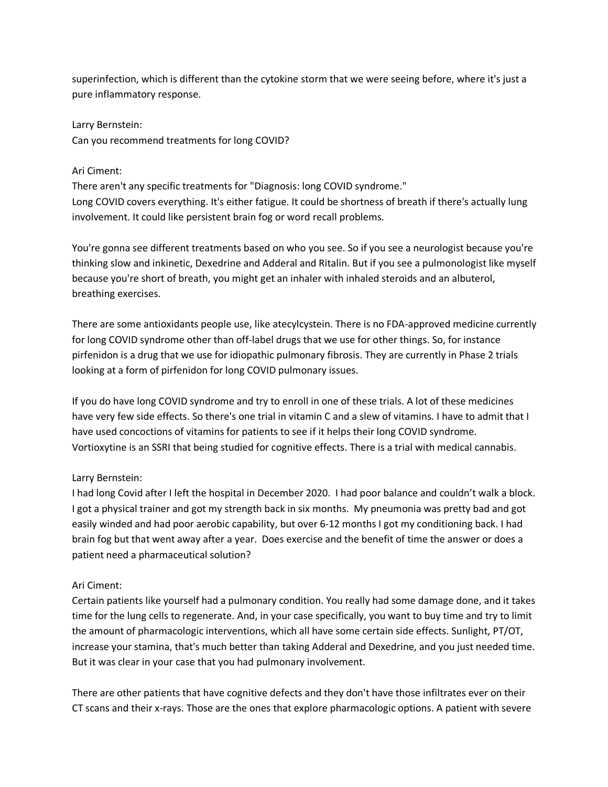superinfection, which is different than the cytokine storm that we were seeing before, where it's just a pure inflammatory response.

Larry Bernstein: Can you recommend treatments for long COVID?

### Ari Ciment:

There aren't any specific treatments for "Diagnosis: long COVID syndrome." Long COVID covers everything. It's either fatigue. It could be shortness of breath if there's actually lung involvement. It could like persistent brain fog or word recall problems.

You're gonna see different treatments based on who you see. So if you see a neurologist because you're thinking slow and inkinetic, Dexedrine and Adderal and Ritalin. But if you see a pulmonologist like myself because you're short of breath, you might get an inhaler with inhaled steroids and an albuterol, breathing exercises.

There are some antioxidants people use, like atecylcystein. There is no FDA-approved medicine currently for long COVID syndrome other than off-label drugs that we use for other things. So, for instance pirfenidon is a drug that we use for idiopathic pulmonary fibrosis. They are currently in Phase 2 trials looking at a form of pirfenidon for long COVID pulmonary issues.

If you do have long COVID syndrome and try to enroll in one of these trials. A lot of these medicines have very few side effects. So there's one trial in vitamin C and a slew of vitamins. I have to admit that I have used concoctions of vitamins for patients to see if it helps their long COVID syndrome. Vortioxytine is an SSRI that being studied for cognitive effects. There is a trial with medical cannabis.

## Larry Bernstein:

I had long Covid after I left the hospital in December 2020. I had poor balance and couldn't walk a block. I got a physical trainer and got my strength back in six months. My pneumonia was pretty bad and got easily winded and had poor aerobic capability, but over 6-12 months I got my conditioning back. I had brain fog but that went away after a year. Does exercise and the benefit of time the answer or does a patient need a pharmaceutical solution?

## Ari Ciment:

Certain patients like yourself had a pulmonary condition. You really had some damage done, and it takes time for the lung cells to regenerate. And, in your case specifically, you want to buy time and try to limit the amount of pharmacologic interventions, which all have some certain side effects. Sunlight, PT/OT, increase your stamina, that's much better than taking Adderal and Dexedrine, and you just needed time. But it was clear in your case that you had pulmonary involvement.

There are other patients that have cognitive defects and they don't have those infiltrates ever on their CT scans and their x-rays. Those are the ones that explore pharmacologic options. A patient with severe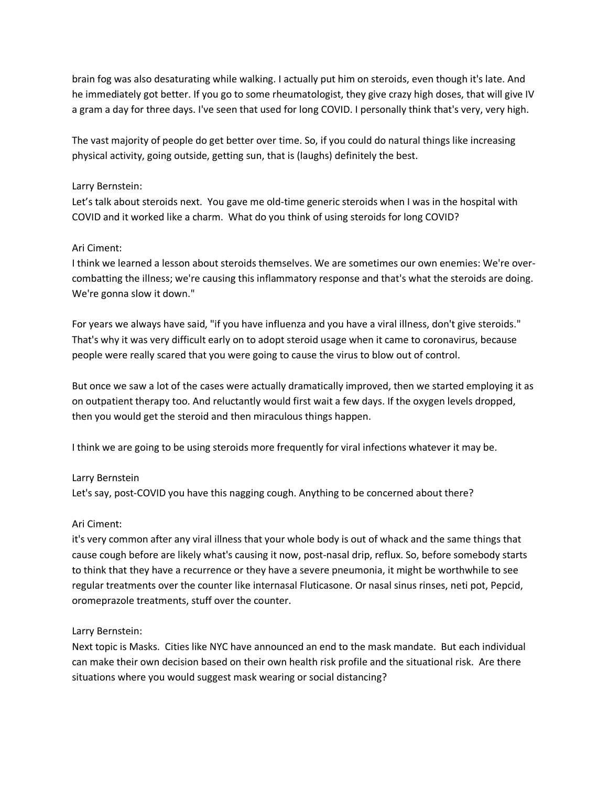brain fog was also desaturating while walking. I actually put him on steroids, even though it's late. And he immediately got better. If you go to some rheumatologist, they give crazy high doses, that will give IV a gram a day for three days. I've seen that used for long COVID. I personally think that's very, very high.

The vast majority of people do get better over time. So, if you could do natural things like increasing physical activity, going outside, getting sun, that is (laughs) definitely the best.

### Larry Bernstein:

Let's talk about steroids next. You gave me old-time generic steroids when I was in the hospital with COVID and it worked like a charm. What do you think of using steroids for long COVID?

### Ari Ciment:

I think we learned a lesson about steroids themselves. We are sometimes our own enemies: We're overcombatting the illness; we're causing this inflammatory response and that's what the steroids are doing. We're gonna slow it down."

For years we always have said, "if you have influenza and you have a viral illness, don't give steroids." That's why it was very difficult early on to adopt steroid usage when it came to coronavirus, because people were really scared that you were going to cause the virus to blow out of control.

But once we saw a lot of the cases were actually dramatically improved, then we started employing it as on outpatient therapy too. And reluctantly would first wait a few days. If the oxygen levels dropped, then you would get the steroid and then miraculous things happen.

I think we are going to be using steroids more frequently for viral infections whatever it may be.

#### Larry Bernstein

Let's say, post-COVID you have this nagging cough. Anything to be concerned about there?

#### Ari Ciment:

it's very common after any viral illness that your whole body is out of whack and the same things that cause cough before are likely what's causing it now, post-nasal drip, reflux. So, before somebody starts to think that they have a recurrence or they have a severe pneumonia, it might be worthwhile to see regular treatments over the counter like internasal Fluticasone. Or nasal sinus rinses, neti pot, Pepcid, oromeprazole treatments, stuff over the counter.

#### Larry Bernstein:

Next topic is Masks. Cities like NYC have announced an end to the mask mandate. But each individual can make their own decision based on their own health risk profile and the situational risk. Are there situations where you would suggest mask wearing or social distancing?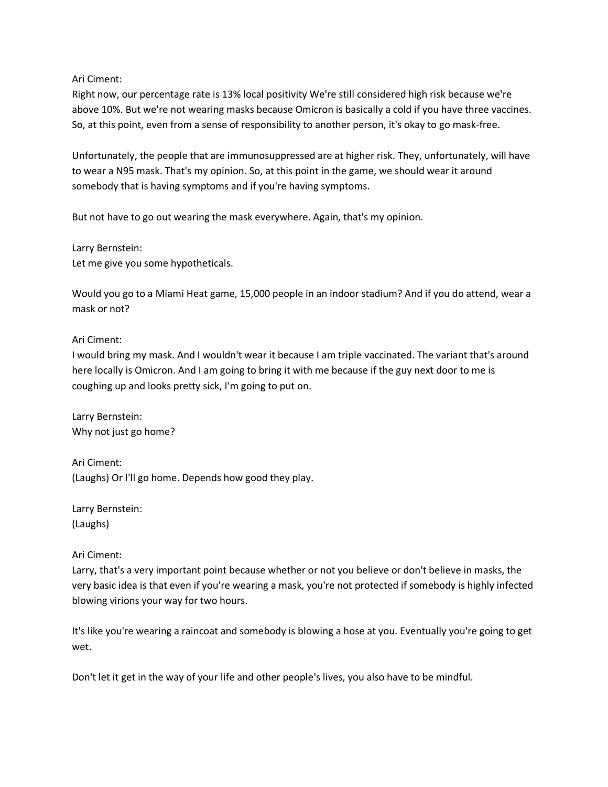Ari Ciment:

Right now, our percentage rate is 13% local positivity We're still considered high risk because we're above 10%. But we're not wearing masks because Omicron is basically a cold if you have three vaccines. So, at this point, even from a sense of responsibility to another person, it's okay to go mask-free.

Unfortunately, the people that are immunosuppressed are at higher risk. They, unfortunately, will have to wear a N95 mask. That's my opinion. So, at this point in the game, we should wear it around somebody that is having symptoms and if you're having symptoms.

But not have to go out wearing the mask everywhere. Again, that's my opinion.

Larry Bernstein:

Let me give you some hypotheticals.

Would you go to a Miami Heat game, 15,000 people in an indoor stadium? And if you do attend, wear a mask or not?

#### Ari Ciment:

I would bring my mask. And I wouldn't wear it because I am triple vaccinated. The variant that's around here locally is Omicron. And I am going to bring it with me because if the guy next door to me is coughing up and looks pretty sick, I'm going to put on.

Larry Bernstein: Why not just go home?

Ari Ciment: (Laughs) Or I'll go home. Depends how good they play.

Larry Bernstein: (Laughs)

Ari Ciment:

Larry, that's a very important point because whether or not you believe or don't believe in masks, the very basic idea is that even if you're wearing a mask, you're not protected if somebody is highly infected blowing virions your way for two hours.

It's like you're wearing a raincoat and somebody is blowing a hose at you. Eventually you're going to get wet.

Don't let it get in the way of your life and other people's lives, you also have to be mindful.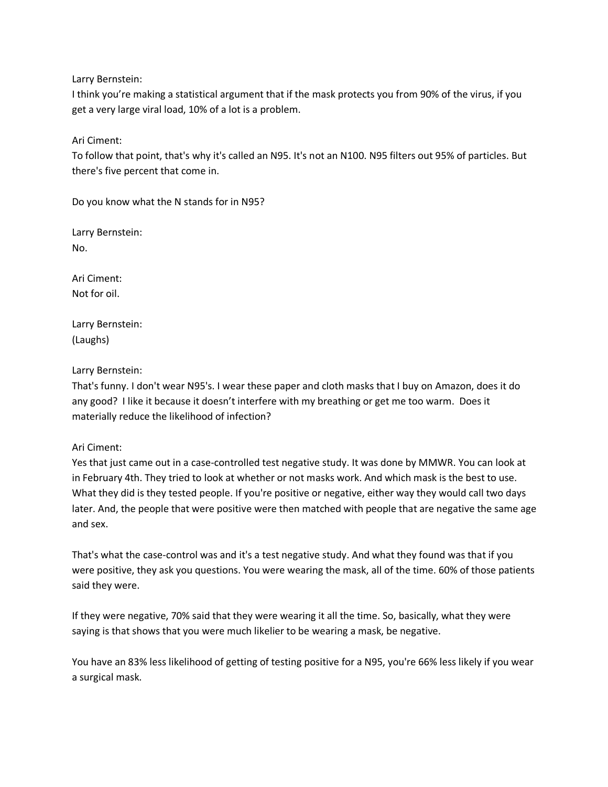Larry Bernstein:

I think you're making a statistical argument that if the mask protects you from 90% of the virus, if you get a very large viral load, 10% of a lot is a problem.

Ari Ciment:

To follow that point, that's why it's called an N95. It's not an N100. N95 filters out 95% of particles. But there's five percent that come in.

Do you know what the N stands for in N95?

Larry Bernstein: No.

Ari Ciment: Not for oil.

Larry Bernstein: (Laughs)

Larry Bernstein:

That's funny. I don't wear N95's. I wear these paper and cloth masks that I buy on Amazon, does it do any good? I like it because it doesn't interfere with my breathing or get me too warm. Does it materially reduce the likelihood of infection?

## Ari Ciment:

Yes that just came out in a case-controlled test negative study. It was done by MMWR. You can look at in February 4th. They tried to look at whether or not masks work. And which mask is the best to use. What they did is they tested people. If you're positive or negative, either way they would call two days later. And, the people that were positive were then matched with people that are negative the same age and sex.

That's what the case-control was and it's a test negative study. And what they found was that if you were positive, they ask you questions. You were wearing the mask, all of the time. 60% of those patients said they were.

If they were negative, 70% said that they were wearing it all the time. So, basically, what they were saying is that shows that you were much likelier to be wearing a mask, be negative.

You have an 83% less likelihood of getting of testing positive for a N95, you're 66% less likely if you wear a surgical mask.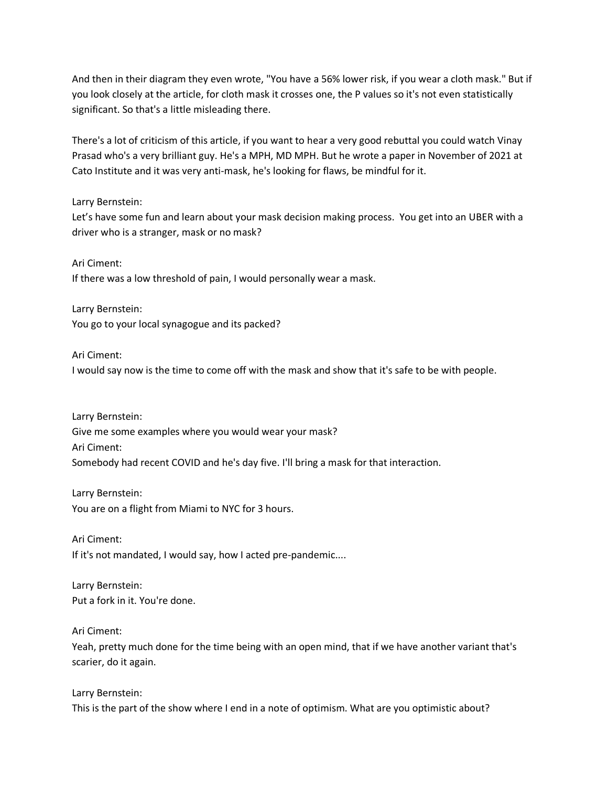And then in their diagram they even wrote, "You have a 56% lower risk, if you wear a cloth mask." But if you look closely at the article, for cloth mask it crosses one, the P values so it's not even statistically significant. So that's a little misleading there.

There's a lot of criticism of this article, if you want to hear a very good rebuttal you could watch Vinay Prasad who's a very brilliant guy. He's a MPH, MD MPH. But he wrote a paper in November of 2021 at Cato Institute and it was very anti-mask, he's looking for flaws, be mindful for it.

#### Larry Bernstein:

Let's have some fun and learn about your mask decision making process. You get into an UBER with a driver who is a stranger, mask or no mask?

#### Ari Ciment:

If there was a low threshold of pain, I would personally wear a mask.

### Larry Bernstein: You go to your local synagogue and its packed?

#### Ari Ciment:

I would say now is the time to come off with the mask and show that it's safe to be with people.

Larry Bernstein: Give me some examples where you would wear your mask? Ari Ciment: Somebody had recent COVID and he's day five. I'll bring a mask for that interaction.

## Larry Bernstein: You are on a flight from Miami to NYC for 3 hours.

Ari Ciment: If it's not mandated, I would say, how I acted pre-pandemic....

Larry Bernstein: Put a fork in it. You're done.

#### Ari Ciment:

Yeah, pretty much done for the time being with an open mind, that if we have another variant that's scarier, do it again.

#### Larry Bernstein:

This is the part of the show where I end in a note of optimism. What are you optimistic about?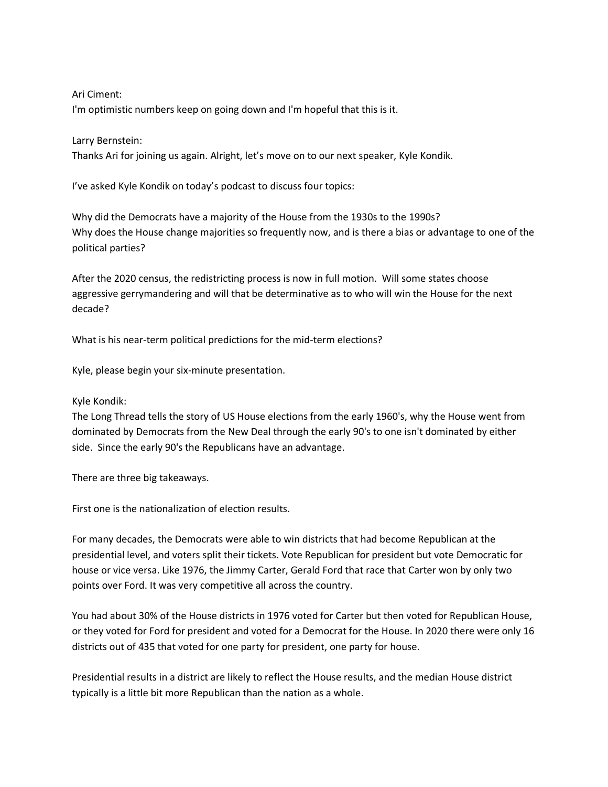#### Ari Ciment:

I'm optimistic numbers keep on going down and I'm hopeful that this is it.

### Larry Bernstein:

Thanks Ari for joining us again. Alright, let's move on to our next speaker, Kyle Kondik.

I've asked Kyle Kondik on today's podcast to discuss four topics:

Why did the Democrats have a majority of the House from the 1930s to the 1990s? Why does the House change majorities so frequently now, and is there a bias or advantage to one of the political parties?

After the 2020 census, the redistricting process is now in full motion. Will some states choose aggressive gerrymandering and will that be determinative as to who will win the House for the next decade?

What is his near-term political predictions for the mid-term elections?

Kyle, please begin your six-minute presentation.

## Kyle Kondik:

The Long Thread tells the story of US House elections from the early 1960's, why the House went from dominated by Democrats from the New Deal through the early 90's to one isn't dominated by either side. Since the early 90's the Republicans have an advantage.

There are three big takeaways.

First one is the nationalization of election results.

For many decades, the Democrats were able to win districts that had become Republican at the presidential level, and voters split their tickets. Vote Republican for president but vote Democratic for house or vice versa. Like 1976, the Jimmy Carter, Gerald Ford that race that Carter won by only two points over Ford. It was very competitive all across the country.

You had about 30% of the House districts in 1976 voted for Carter but then voted for Republican House, or they voted for Ford for president and voted for a Democrat for the House. In 2020 there were only 16 districts out of 435 that voted for one party for president, one party for house.

Presidential results in a district are likely to reflect the House results, and the median House district typically is a little bit more Republican than the nation as a whole.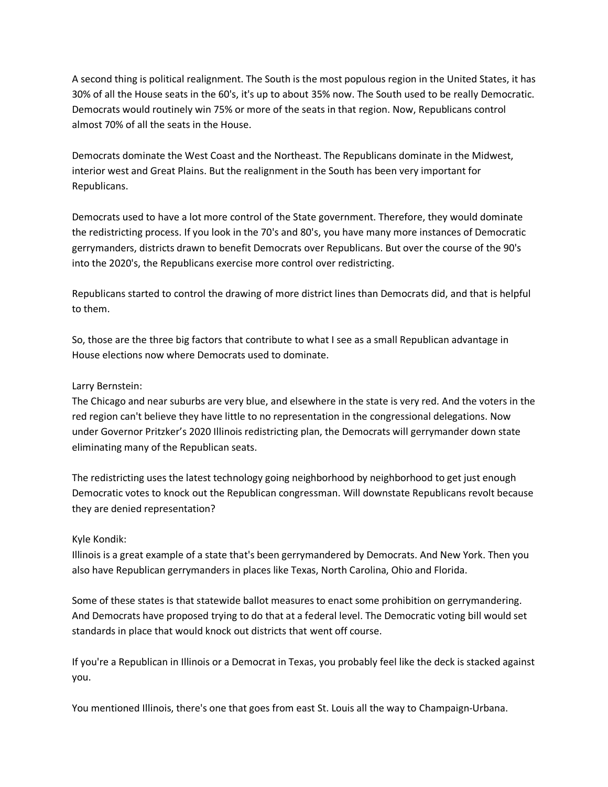A second thing is political realignment. The South is the most populous region in the United States, it has 30% of all the House seats in the 60's, it's up to about 35% now. The South used to be really Democratic. Democrats would routinely win 75% or more of the seats in that region. Now, Republicans control almost 70% of all the seats in the House.

Democrats dominate the West Coast and the Northeast. The Republicans dominate in the Midwest, interior west and Great Plains. But the realignment in the South has been very important for Republicans.

Democrats used to have a lot more control of the State government. Therefore, they would dominate the redistricting process. If you look in the 70's and 80's, you have many more instances of Democratic gerrymanders, districts drawn to benefit Democrats over Republicans. But over the course of the 90's into the 2020's, the Republicans exercise more control over redistricting.

Republicans started to control the drawing of more district lines than Democrats did, and that is helpful to them.

So, those are the three big factors that contribute to what I see as a small Republican advantage in House elections now where Democrats used to dominate.

### Larry Bernstein:

The Chicago and near suburbs are very blue, and elsewhere in the state is very red. And the voters in the red region can't believe they have little to no representation in the congressional delegations. Now under Governor Pritzker's 2020 Illinois redistricting plan, the Democrats will gerrymander down state eliminating many of the Republican seats.

The redistricting uses the latest technology going neighborhood by neighborhood to get just enough Democratic votes to knock out the Republican congressman. Will downstate Republicans revolt because they are denied representation?

## Kyle Kondik:

Illinois is a great example of a state that's been gerrymandered by Democrats. And New York. Then you also have Republican gerrymanders in places like Texas, North Carolina, Ohio and Florida.

Some of these states is that statewide ballot measures to enact some prohibition on gerrymandering. And Democrats have proposed trying to do that at a federal level. The Democratic voting bill would set standards in place that would knock out districts that went off course.

If you're a Republican in Illinois or a Democrat in Texas, you probably feel like the deck is stacked against you.

You mentioned Illinois, there's one that goes from east St. Louis all the way to Champaign-Urbana.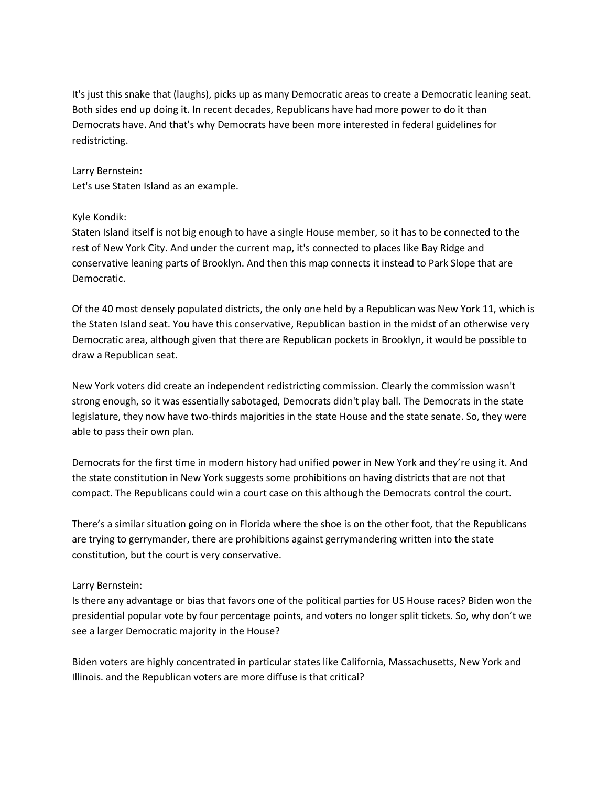It's just this snake that (laughs), picks up as many Democratic areas to create a Democratic leaning seat. Both sides end up doing it. In recent decades, Republicans have had more power to do it than Democrats have. And that's why Democrats have been more interested in federal guidelines for redistricting.

#### Larry Bernstein:

Let's use Staten Island as an example.

#### Kyle Kondik:

Staten Island itself is not big enough to have a single House member, so it has to be connected to the rest of New York City. And under the current map, it's connected to places like Bay Ridge and conservative leaning parts of Brooklyn. And then this map connects it instead to Park Slope that are Democratic.

Of the 40 most densely populated districts, the only one held by a Republican was New York 11, which is the Staten Island seat. You have this conservative, Republican bastion in the midst of an otherwise very Democratic area, although given that there are Republican pockets in Brooklyn, it would be possible to draw a Republican seat.

New York voters did create an independent redistricting commission. Clearly the commission wasn't strong enough, so it was essentially sabotaged, Democrats didn't play ball. The Democrats in the state legislature, they now have two-thirds majorities in the state House and the state senate. So, they were able to pass their own plan.

Democrats for the first time in modern history had unified power in New York and they're using it. And the state constitution in New York suggests some prohibitions on having districts that are not that compact. The Republicans could win a court case on this although the Democrats control the court.

There's a similar situation going on in Florida where the shoe is on the other foot, that the Republicans are trying to gerrymander, there are prohibitions against gerrymandering written into the state constitution, but the court is very conservative.

#### Larry Bernstein:

Is there any advantage or bias that favors one of the political parties for US House races? Biden won the presidential popular vote by four percentage points, and voters no longer split tickets. So, why don't we see a larger Democratic majority in the House?

Biden voters are highly concentrated in particular states like California, Massachusetts, New York and Illinois. and the Republican voters are more diffuse is that critical?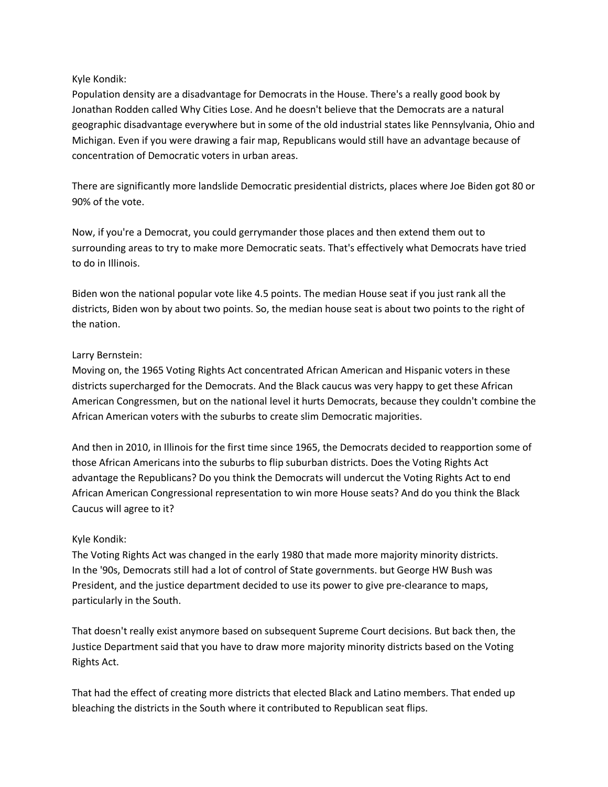### Kyle Kondik:

Population density are a disadvantage for Democrats in the House. There's a really good book by Jonathan Rodden called Why Cities Lose. And he doesn't believe that the Democrats are a natural geographic disadvantage everywhere but in some of the old industrial states like Pennsylvania, Ohio and Michigan. Even if you were drawing a fair map, Republicans would still have an advantage because of concentration of Democratic voters in urban areas.

There are significantly more landslide Democratic presidential districts, places where Joe Biden got 80 or 90% of the vote.

Now, if you're a Democrat, you could gerrymander those places and then extend them out to surrounding areas to try to make more Democratic seats. That's effectively what Democrats have tried to do in Illinois.

Biden won the national popular vote like 4.5 points. The median House seat if you just rank all the districts, Biden won by about two points. So, the median house seat is about two points to the right of the nation.

## Larry Bernstein:

Moving on, the 1965 Voting Rights Act concentrated African American and Hispanic voters in these districts supercharged for the Democrats. And the Black caucus was very happy to get these African American Congressmen, but on the national level it hurts Democrats, because they couldn't combine the African American voters with the suburbs to create slim Democratic majorities.

And then in 2010, in Illinois for the first time since 1965, the Democrats decided to reapportion some of those African Americans into the suburbs to flip suburban districts. Does the Voting Rights Act advantage the Republicans? Do you think the Democrats will undercut the Voting Rights Act to end African American Congressional representation to win more House seats? And do you think the Black Caucus will agree to it?

## Kyle Kondik:

The Voting Rights Act was changed in the early 1980 that made more majority minority districts. In the '90s, Democrats still had a lot of control of State governments. but George HW Bush was President, and the justice department decided to use its power to give pre-clearance to maps, particularly in the South.

That doesn't really exist anymore based on subsequent Supreme Court decisions. But back then, the Justice Department said that you have to draw more majority minority districts based on the Voting Rights Act.

That had the effect of creating more districts that elected Black and Latino members. That ended up bleaching the districts in the South where it contributed to Republican seat flips.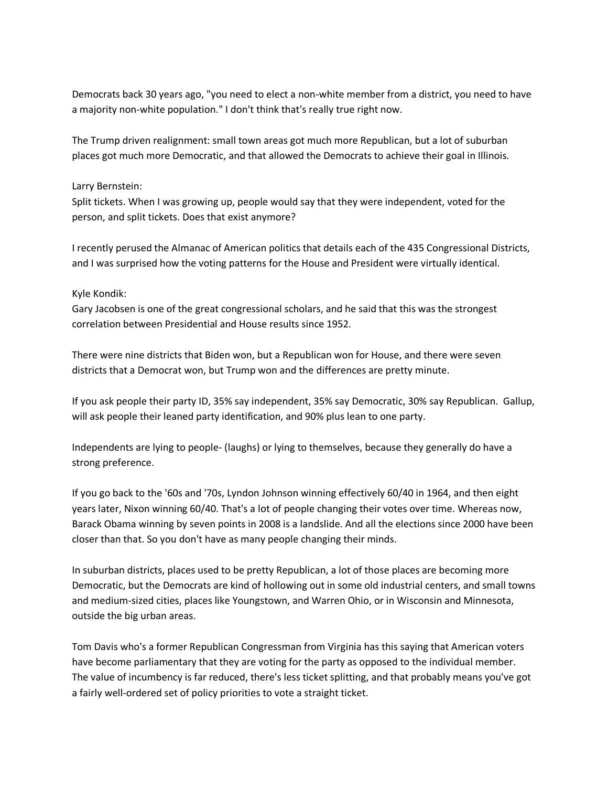Democrats back 30 years ago, "you need to elect a non-white member from a district, you need to have a majority non-white population." I don't think that's really true right now.

The Trump driven realignment: small town areas got much more Republican, but a lot of suburban places got much more Democratic, and that allowed the Democrats to achieve their goal in Illinois.

### Larry Bernstein:

Split tickets. When I was growing up, people would say that they were independent, voted for the person, and split tickets. Does that exist anymore?

I recently perused the Almanac of American politics that details each of the 435 Congressional Districts, and I was surprised how the voting patterns for the House and President were virtually identical.

#### Kyle Kondik:

Gary Jacobsen is one of the great congressional scholars, and he said that this was the strongest correlation between Presidential and House results since 1952.

There were nine districts that Biden won, but a Republican won for House, and there were seven districts that a Democrat won, but Trump won and the differences are pretty minute.

If you ask people their party ID, 35% say independent, 35% say Democratic, 30% say Republican. Gallup, will ask people their leaned party identification, and 90% plus lean to one party.

Independents are lying to people- (laughs) or lying to themselves, because they generally do have a strong preference.

If you go back to the '60s and '70s, Lyndon Johnson winning effectively 60/40 in 1964, and then eight years later, Nixon winning 60/40. That's a lot of people changing their votes over time. Whereas now, Barack Obama winning by seven points in 2008 is a landslide. And all the elections since 2000 have been closer than that. So you don't have as many people changing their minds.

In suburban districts, places used to be pretty Republican, a lot of those places are becoming more Democratic, but the Democrats are kind of hollowing out in some old industrial centers, and small towns and medium-sized cities, places like Youngstown, and Warren Ohio, or in Wisconsin and Minnesota, outside the big urban areas.

Tom Davis who's a former Republican Congressman from Virginia has this saying that American voters have become parliamentary that they are voting for the party as opposed to the individual member. The value of incumbency is far reduced, there's less ticket splitting, and that probably means you've got a fairly well-ordered set of policy priorities to vote a straight ticket.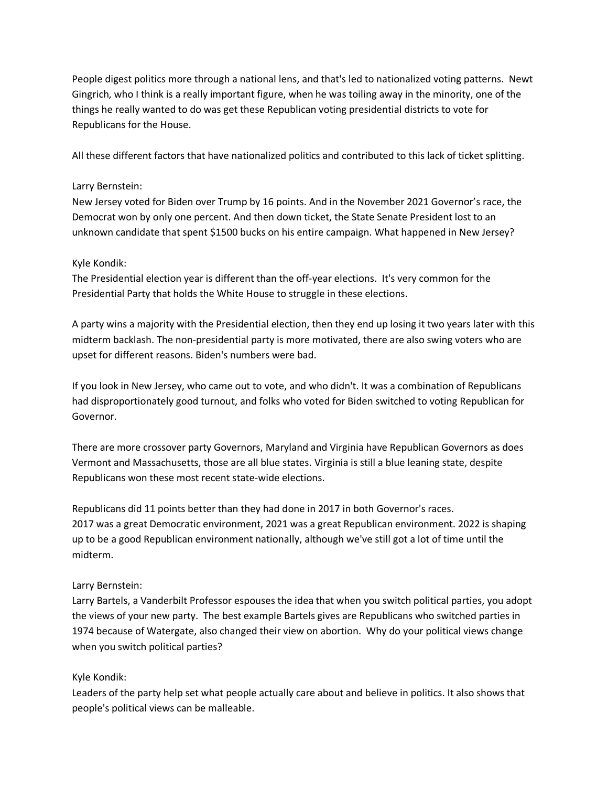People digest politics more through a national lens, and that's led to nationalized voting patterns. Newt Gingrich, who I think is a really important figure, when he was toiling away in the minority, one of the things he really wanted to do was get these Republican voting presidential districts to vote for Republicans for the House.

All these different factors that have nationalized politics and contributed to this lack of ticket splitting.

### Larry Bernstein:

New Jersey voted for Biden over Trump by 16 points. And in the November 2021 Governor's race, the Democrat won by only one percent. And then down ticket, the State Senate President lost to an unknown candidate that spent \$1500 bucks on his entire campaign. What happened in New Jersey?

### Kyle Kondik:

The Presidential election year is different than the off-year elections. It's very common for the Presidential Party that holds the White House to struggle in these elections.

A party wins a majority with the Presidential election, then they end up losing it two years later with this midterm backlash. The non-presidential party is more motivated, there are also swing voters who are upset for different reasons. Biden's numbers were bad.

If you look in New Jersey, who came out to vote, and who didn't. It was a combination of Republicans had disproportionately good turnout, and folks who voted for Biden switched to voting Republican for Governor.

There are more crossover party Governors, Maryland and Virginia have Republican Governors as does Vermont and Massachusetts, those are all blue states. Virginia is still a blue leaning state, despite Republicans won these most recent state-wide elections.

Republicans did 11 points better than they had done in 2017 in both Governor's races. 2017 was a great Democratic environment, 2021 was a great Republican environment. 2022 is shaping up to be a good Republican environment nationally, although we've still got a lot of time until the midterm.

## Larry Bernstein:

Larry Bartels, a Vanderbilt Professor espouses the idea that when you switch political parties, you adopt the views of your new party. The best example Bartels gives are Republicans who switched parties in 1974 because of Watergate, also changed their view on abortion. Why do your political views change when you switch political parties?

## Kyle Kondik:

Leaders of the party help set what people actually care about and believe in politics. It also shows that people's political views can be malleable.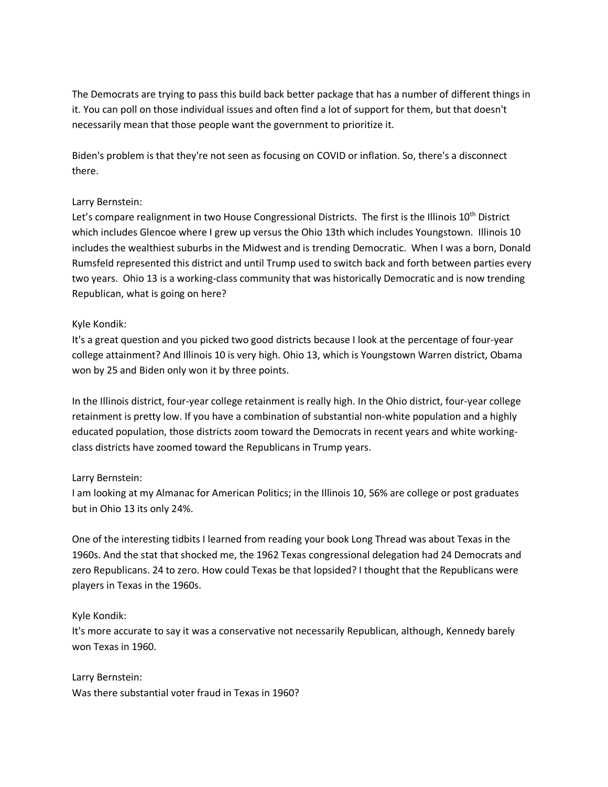The Democrats are trying to pass this build back better package that has a number of different things in it. You can poll on those individual issues and often find a lot of support for them, but that doesn't necessarily mean that those people want the government to prioritize it.

Biden's problem is that they're not seen as focusing on COVID or inflation. So, there's a disconnect there.

### Larry Bernstein:

Let's compare realignment in two House Congressional Districts. The first is the Illinois  $10^{th}$  District which includes Glencoe where I grew up versus the Ohio 13th which includes Youngstown. Illinois 10 includes the wealthiest suburbs in the Midwest and is trending Democratic. When I was a born, Donald Rumsfeld represented this district and until Trump used to switch back and forth between parties every two years. Ohio 13 is a working-class community that was historically Democratic and is now trending Republican, what is going on here?

### Kyle Kondik:

It's a great question and you picked two good districts because I look at the percentage of four-year college attainment? And Illinois 10 is very high. Ohio 13, which is Youngstown Warren district, Obama won by 25 and Biden only won it by three points.

In the Illinois district, four-year college retainment is really high. In the Ohio district, four-year college retainment is pretty low. If you have a combination of substantial non-white population and a highly educated population, those districts zoom toward the Democrats in recent years and white workingclass districts have zoomed toward the Republicans in Trump years.

## Larry Bernstein:

I am looking at my Almanac for American Politics; in the Illinois 10, 56% are college or post graduates but in Ohio 13 its only 24%.

One of the interesting tidbits I learned from reading your book Long Thread was about Texas in the 1960s. And the stat that shocked me, the 1962 Texas congressional delegation had 24 Democrats and zero Republicans. 24 to zero. How could Texas be that lopsided? I thought that the Republicans were players in Texas in the 1960s.

## Kyle Kondik:

It's more accurate to say it was a conservative not necessarily Republican, although, Kennedy barely won Texas in 1960.

Larry Bernstein: Was there substantial voter fraud in Texas in 1960?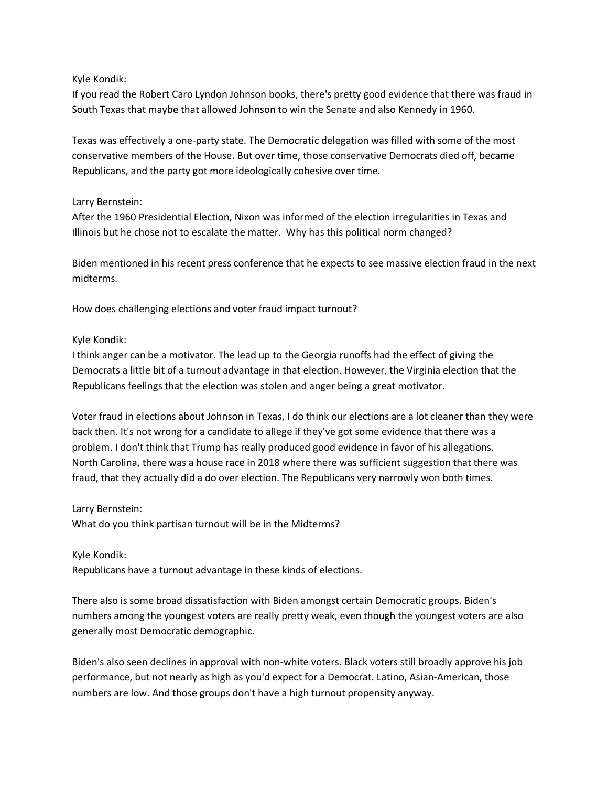Kyle Kondik:

If you read the Robert Caro Lyndon Johnson books, there's pretty good evidence that there was fraud in South Texas that maybe that allowed Johnson to win the Senate and also Kennedy in 1960.

Texas was effectively a one-party state. The Democratic delegation was filled with some of the most conservative members of the House. But over time, those conservative Democrats died off, became Republicans, and the party got more ideologically cohesive over time.

#### Larry Bernstein:

After the 1960 Presidential Election, Nixon was informed of the election irregularities in Texas and Illinois but he chose not to escalate the matter. Why has this political norm changed?

Biden mentioned in his recent press conference that he expects to see massive election fraud in the next midterms.

How does challenging elections and voter fraud impact turnout?

#### Kyle Kondik:

I think anger can be a motivator. The lead up to the Georgia runoffs had the effect of giving the Democrats a little bit of a turnout advantage in that election. However, the Virginia election that the Republicans feelings that the election was stolen and anger being a great motivator.

Voter fraud in elections about Johnson in Texas, I do think our elections are a lot cleaner than they were back then. It's not wrong for a candidate to allege if they've got some evidence that there was a problem. I don't think that Trump has really produced good evidence in favor of his allegations. North Carolina, there was a house race in 2018 where there was sufficient suggestion that there was fraud, that they actually did a do over election. The Republicans very narrowly won both times.

#### Larry Bernstein:

What do you think partisan turnout will be in the Midterms?

Kyle Kondik:

Republicans have a turnout advantage in these kinds of elections.

There also is some broad dissatisfaction with Biden amongst certain Democratic groups. Biden's numbers among the youngest voters are really pretty weak, even though the youngest voters are also generally most Democratic demographic.

Biden's also seen declines in approval with non-white voters. Black voters still broadly approve his job performance, but not nearly as high as you'd expect for a Democrat. Latino, Asian-American, those numbers are low. And those groups don't have a high turnout propensity anyway.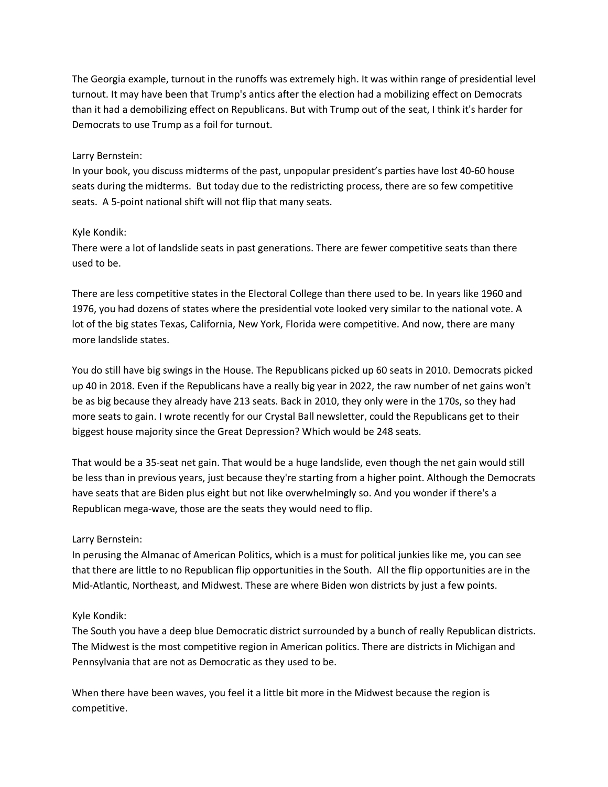The Georgia example, turnout in the runoffs was extremely high. It was within range of presidential level turnout. It may have been that Trump's antics after the election had a mobilizing effect on Democrats than it had a demobilizing effect on Republicans. But with Trump out of the seat, I think it's harder for Democrats to use Trump as a foil for turnout.

#### Larry Bernstein:

In your book, you discuss midterms of the past, unpopular president's parties have lost 40-60 house seats during the midterms. But today due to the redistricting process, there are so few competitive seats. A 5-point national shift will not flip that many seats.

#### Kyle Kondik:

There were a lot of landslide seats in past generations. There are fewer competitive seats than there used to be.

There are less competitive states in the Electoral College than there used to be. In years like 1960 and 1976, you had dozens of states where the presidential vote looked very similar to the national vote. A lot of the big states Texas, California, New York, Florida were competitive. And now, there are many more landslide states.

You do still have big swings in the House. The Republicans picked up 60 seats in 2010. Democrats picked up 40 in 2018. Even if the Republicans have a really big year in 2022, the raw number of net gains won't be as big because they already have 213 seats. Back in 2010, they only were in the 170s, so they had more seats to gain. I wrote recently for our Crystal Ball newsletter, could the Republicans get to their biggest house majority since the Great Depression? Which would be 248 seats.

That would be a 35-seat net gain. That would be a huge landslide, even though the net gain would still be less than in previous years, just because they're starting from a higher point. Although the Democrats have seats that are Biden plus eight but not like overwhelmingly so. And you wonder if there's a Republican mega-wave, those are the seats they would need to flip.

#### Larry Bernstein:

In perusing the Almanac of American Politics, which is a must for political junkies like me, you can see that there are little to no Republican flip opportunities in the South. All the flip opportunities are in the Mid-Atlantic, Northeast, and Midwest. These are where Biden won districts by just a few points.

#### Kyle Kondik:

The South you have a deep blue Democratic district surrounded by a bunch of really Republican districts. The Midwest is the most competitive region in American politics. There are districts in Michigan and Pennsylvania that are not as Democratic as they used to be.

When there have been waves, you feel it a little bit more in the Midwest because the region is competitive.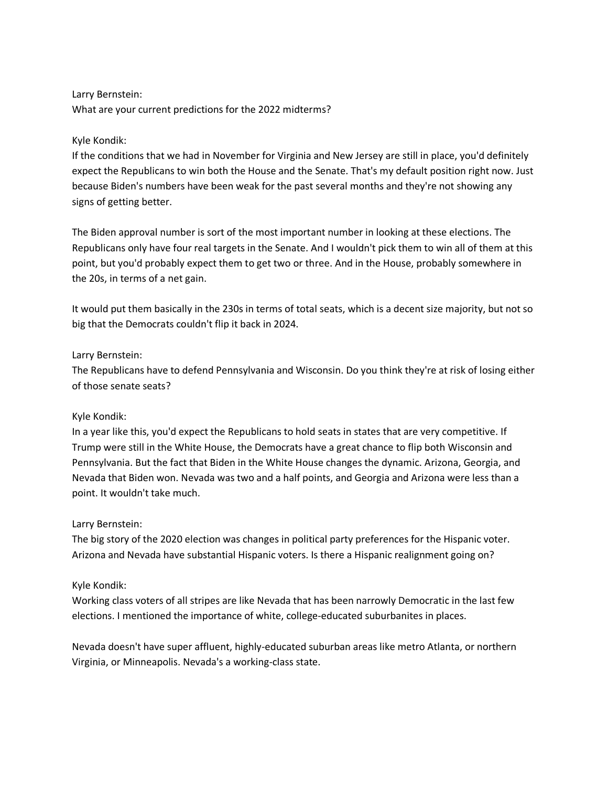# Larry Bernstein: What are your current predictions for the 2022 midterms?

# Kyle Kondik:

If the conditions that we had in November for Virginia and New Jersey are still in place, you'd definitely expect the Republicans to win both the House and the Senate. That's my default position right now. Just because Biden's numbers have been weak for the past several months and they're not showing any signs of getting better.

The Biden approval number is sort of the most important number in looking at these elections. The Republicans only have four real targets in the Senate. And I wouldn't pick them to win all of them at this point, but you'd probably expect them to get two or three. And in the House, probably somewhere in the 20s, in terms of a net gain.

It would put them basically in the 230s in terms of total seats, which is a decent size majority, but not so big that the Democrats couldn't flip it back in 2024.

## Larry Bernstein:

The Republicans have to defend Pennsylvania and Wisconsin. Do you think they're at risk of losing either of those senate seats?

## Kyle Kondik:

In a year like this, you'd expect the Republicans to hold seats in states that are very competitive. If Trump were still in the White House, the Democrats have a great chance to flip both Wisconsin and Pennsylvania. But the fact that Biden in the White House changes the dynamic. Arizona, Georgia, and Nevada that Biden won. Nevada was two and a half points, and Georgia and Arizona were less than a point. It wouldn't take much.

## Larry Bernstein:

The big story of the 2020 election was changes in political party preferences for the Hispanic voter. Arizona and Nevada have substantial Hispanic voters. Is there a Hispanic realignment going on?

# Kyle Kondik:

Working class voters of all stripes are like Nevada that has been narrowly Democratic in the last few elections. I mentioned the importance of white, college-educated suburbanites in places.

Nevada doesn't have super affluent, highly-educated suburban areas like metro Atlanta, or northern Virginia, or Minneapolis. Nevada's a working-class state.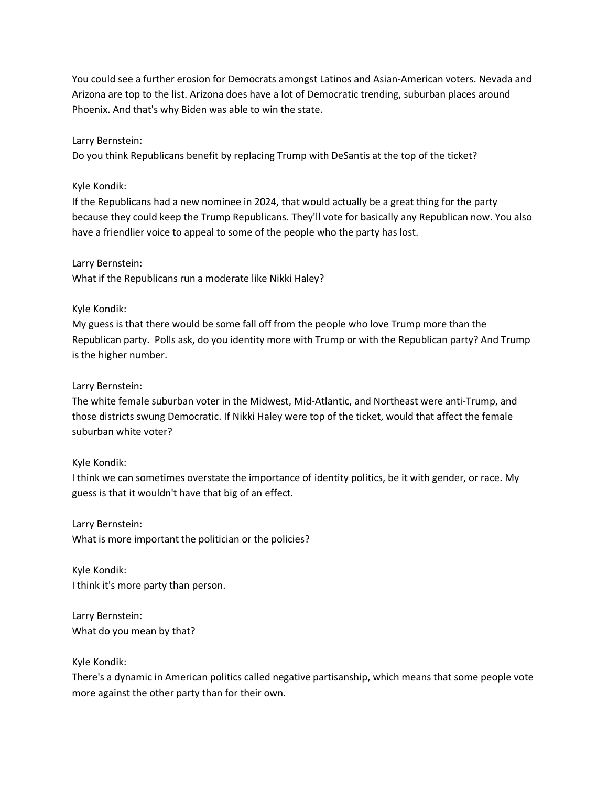You could see a further erosion for Democrats amongst Latinos and Asian-American voters. Nevada and Arizona are top to the list. Arizona does have a lot of Democratic trending, suburban places around Phoenix. And that's why Biden was able to win the state.

#### Larry Bernstein:

Do you think Republicans benefit by replacing Trump with DeSantis at the top of the ticket?

Kyle Kondik:

If the Republicans had a new nominee in 2024, that would actually be a great thing for the party because they could keep the Trump Republicans. They'll vote for basically any Republican now. You also have a friendlier voice to appeal to some of the people who the party has lost.

Larry Bernstein:

What if the Republicans run a moderate like Nikki Haley?

#### Kyle Kondik:

My guess is that there would be some fall off from the people who love Trump more than the Republican party. Polls ask, do you identity more with Trump or with the Republican party? And Trump is the higher number.

#### Larry Bernstein:

The white female suburban voter in the Midwest, Mid-Atlantic, and Northeast were anti-Trump, and those districts swung Democratic. If Nikki Haley were top of the ticket, would that affect the female suburban white voter?

#### Kyle Kondik:

I think we can sometimes overstate the importance of identity politics, be it with gender, or race. My guess is that it wouldn't have that big of an effect.

Larry Bernstein: What is more important the politician or the policies?

Kyle Kondik: I think it's more party than person.

Larry Bernstein: What do you mean by that?

Kyle Kondik:

There's a dynamic in American politics called negative partisanship, which means that some people vote more against the other party than for their own.